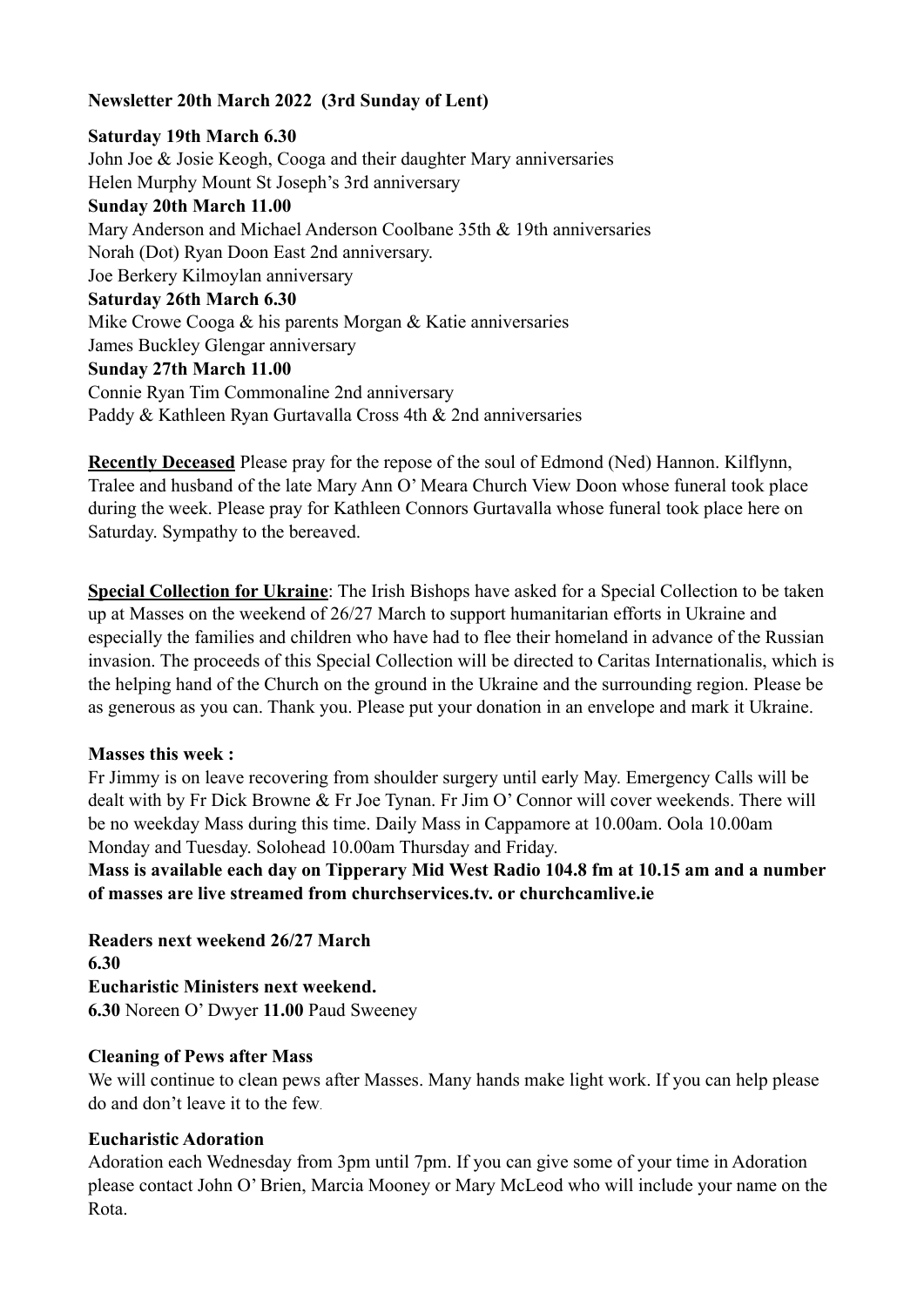#### **Newsletter 20th March 2022 (3rd Sunday of Lent)**

### **Saturday 19th March 6.30**  John Joe & Josie Keogh, Cooga and their daughter Mary anniversaries Helen Murphy Mount St Joseph's 3rd anniversary **Sunday 20th March 11.00**  Mary Anderson and Michael Anderson Coolbane 35th & 19th anniversaries Norah (Dot) Ryan Doon East 2nd anniversary. Joe Berkery Kilmoylan anniversary **Saturday 26th March 6.30**  Mike Crowe Cooga & his parents Morgan & Katie anniversaries James Buckley Glengar anniversary **Sunday 27th March 11.00**  Connie Ryan Tim Commonaline 2nd anniversary Paddy & Kathleen Ryan Gurtavalla Cross 4th & 2nd anniversaries

**Recently Deceased** Please pray for the repose of the soul of Edmond (Ned) Hannon. Kilflynn, Tralee and husband of the late Mary Ann O' Meara Church View Doon whose funeral took place during the week. Please pray for Kathleen Connors Gurtavalla whose funeral took place here on Saturday. Sympathy to the bereaved.

**Special Collection for Ukraine**: The Irish Bishops have asked for a Special Collection to be taken up at Masses on the weekend of 26/27 March to support humanitarian efforts in Ukraine and especially the families and children who have had to flee their homeland in advance of the Russian invasion. The proceeds of this Special Collection will be directed to Caritas Internationalis, which is the helping hand of the Church on the ground in the Ukraine and the surrounding region. Please be as generous as you can. Thank you. Please put your donation in an envelope and mark it Ukraine.

#### **Masses this week :**

Fr Jimmy is on leave recovering from shoulder surgery until early May. Emergency Calls will be dealt with by Fr Dick Browne & Fr Joe Tynan. Fr Jim O' Connor will cover weekends. There will be no weekday Mass during this time. Daily Mass in Cappamore at 10.00am. Oola 10.00am Monday and Tuesday. Solohead 10.00am Thursday and Friday.

**Mass is available each day on Tipperary Mid West Radio 104.8 fm at 10.15 am and a number of masses are live streamed from churchservices.tv. or [churchcamlive.ie](http://churchcamlive.ie)** 

**Readers next weekend 26/27 March 6.30 Eucharistic Ministers next weekend. 6.30** Noreen O' Dwyer **11.00** Paud Sweeney

#### **Cleaning of Pews after Mass**

We will continue to clean pews after Masses. Many hands make light work. If you can help please do and don't leave it to the few.

#### **Eucharistic Adoration**

Adoration each Wednesday from 3pm until 7pm. If you can give some of your time in Adoration please contact John O' Brien, Marcia Mooney or Mary McLeod who will include your name on the Rota.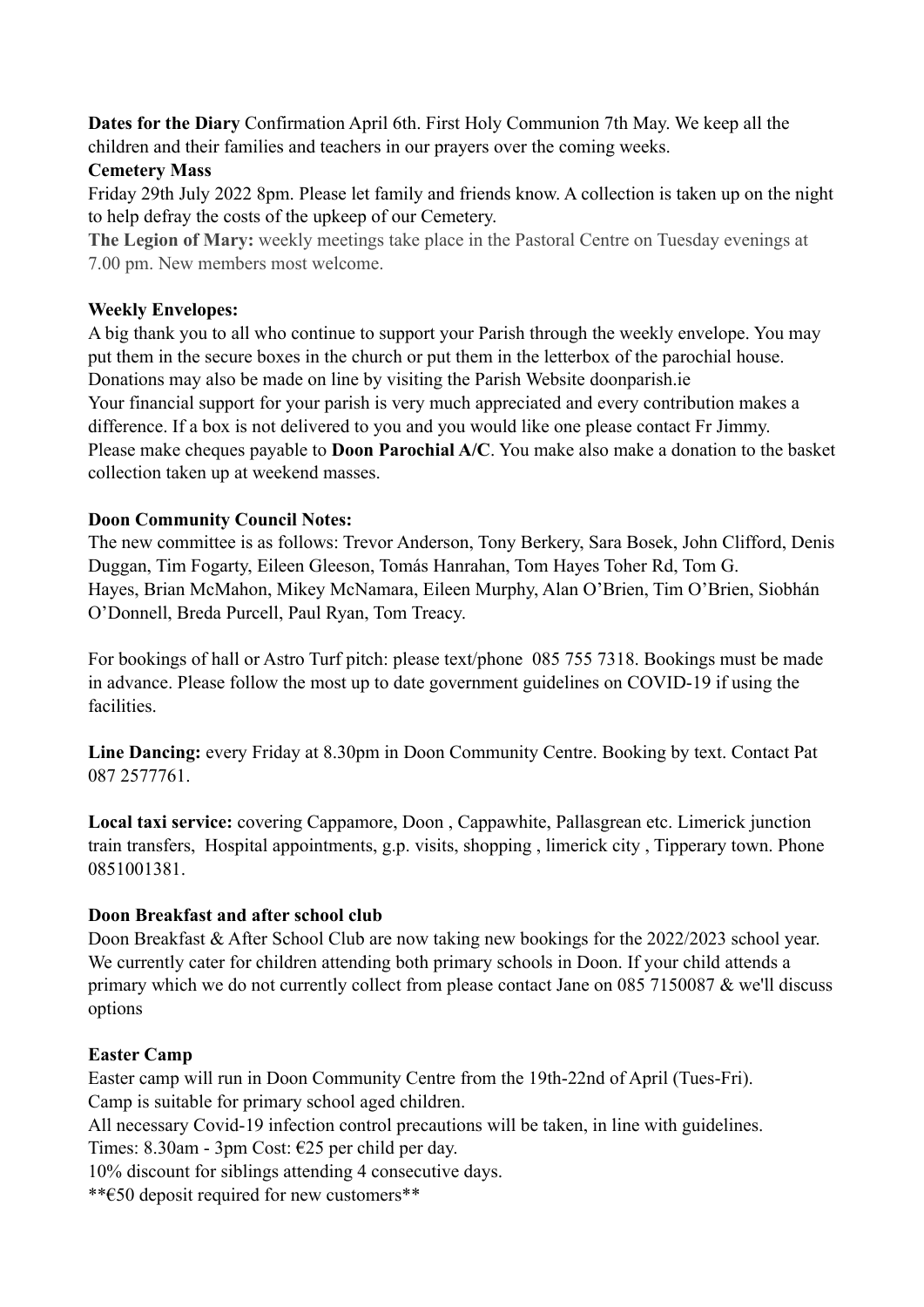**Dates for the Diary** Confirmation April 6th. First Holy Communion 7th May. We keep all the children and their families and teachers in our prayers over the coming weeks.

## **Cemetery Mass**

Friday 29th July 2022 8pm. Please let family and friends know. A collection is taken up on the night to help defray the costs of the upkeep of our Cemetery.

**The Legion of Mary:** weekly meetings take place in the Pastoral Centre on Tuesday evenings at 7.00 pm. New members most welcome.

### **Weekly Envelopes:**

A big thank you to all who continue to support your Parish through the weekly envelope. You may put them in the secure boxes in the church or put them in the letterbox of the parochial house. Donations may also be made on line by visiting the Parish Website [doonparish.ie](http://doonparish.ie) Your financial support for your parish is very much appreciated and every contribution makes a difference. If a box is not delivered to you and you would like one please contact Fr Jimmy. Please make cheques payable to **Doon Parochial A/C**. You make also make a donation to the basket collection taken up at weekend masses.

### **Doon Community Council Notes:**

The new committee is as follows: Trevor Anderson, Tony Berkery, Sara Bosek, John Clifford, Denis Duggan, Tim Fogarty, Eileen Gleeson, Tomás Hanrahan, Tom Hayes Toher Rd, Tom G. Hayes, Brian McMahon, Mikey McNamara, Eileen Murphy, Alan O'Brien, Tim O'Brien, Siobhán O'Donnell, Breda Purcell, Paul Ryan, Tom Treacy.

For bookings of hall or Astro Turf pitch: please text/phone 085 755 7318. Bookings must be made in advance. Please follow the most up to date government guidelines on COVID-19 if using the facilities.

**Line Dancing:** every Friday at 8.30pm in Doon Community Centre. Booking by text. Contact Pat 087 2577761.

**Local taxi service:** covering Cappamore, Doon , Cappawhite, Pallasgrean etc. Limerick junction train transfers, Hospital appointments, g.p. visits, shopping , limerick city , Tipperary town. Phone 0851001381.

# **Doon Breakfast and after school club**

Doon Breakfast & After School Club are now taking new bookings for the 2022/2023 school year. We currently cater for children attending both primary schools in Doon. If your child attends a primary which we do not currently collect from please contact Jane on 085 7150087 & we'll discuss options

# **Easter Camp**

Easter camp will run in Doon Community Centre from the 19th-22nd of April (Tues-Fri). Camp is suitable for primary school aged children.

All necessary Covid-19 infection control precautions will be taken, in line with guidelines.

Times: 8.30am - 3pm Cost: €25 per child per day.

10% discount for siblings attending 4 consecutive days.

\*\*€50 deposit required for new customers\*\*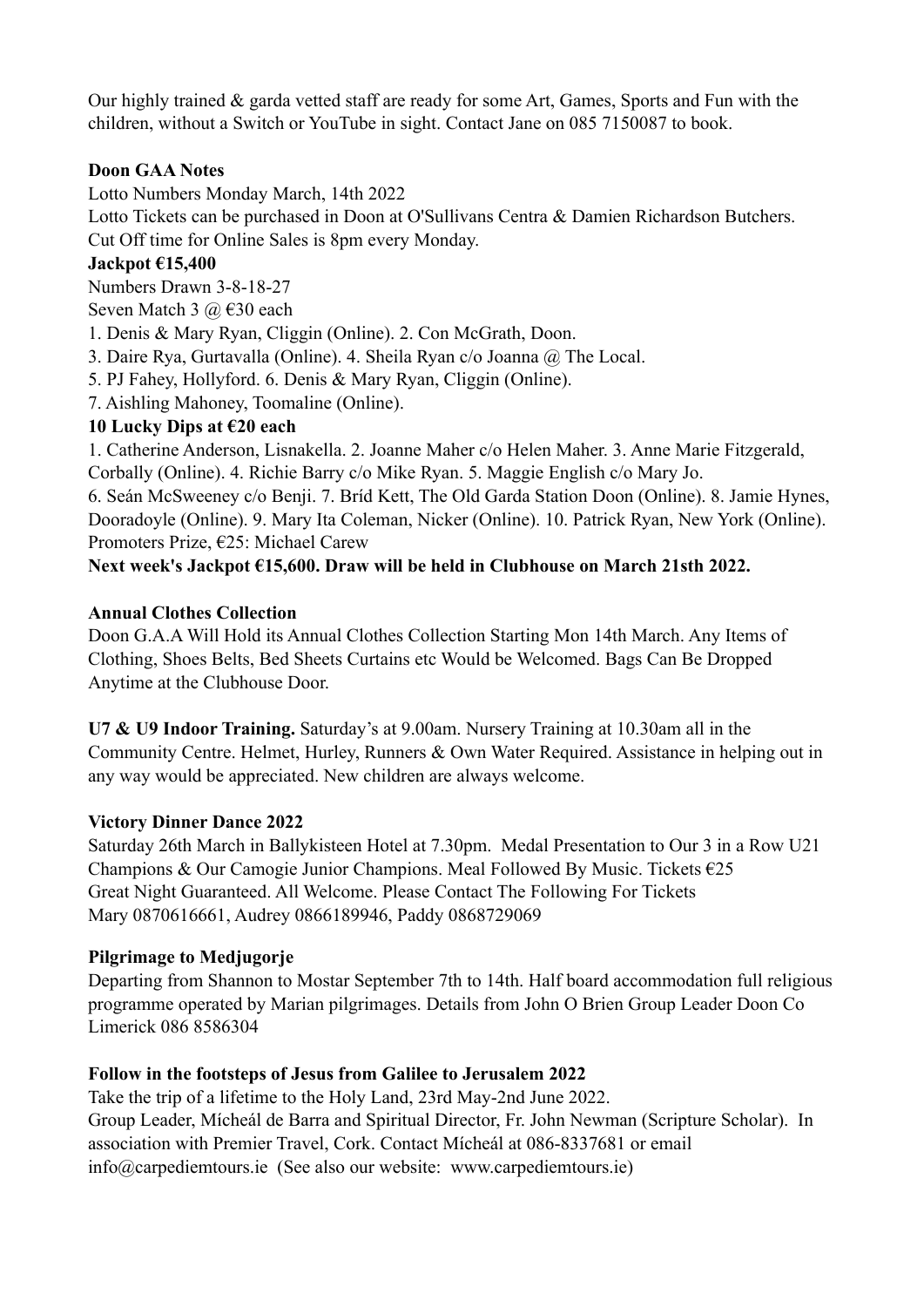Our highly trained & garda vetted staff are ready for some Art, Games, Sports and Fun with the children, without a Switch or YouTube in sight. Contact Jane on 085 7150087 to book.

### **Doon GAA Notes**

Lotto Numbers Monday March, 14th 2022

Lotto Tickets can be purchased in Doon at O'Sullivans Centra & Damien Richardson Butchers. Cut Off time for Online Sales is 8pm every Monday.

## **Jackpot €15,400**

Numbers Drawn 3-8-18-27

Seven Match 3  $\omega$  €30 each

1. Denis & Mary Ryan, Cliggin (Online). 2. Con McGrath, Doon.

- 3. Daire Rya, Gurtavalla (Online). 4. Sheila Ryan c/o Joanna @ The Local.
- 5. PJ Fahey, Hollyford. 6. Denis & Mary Ryan, Cliggin (Online).
- 7. Aishling Mahoney, Toomaline (Online).

## **10 Lucky Dips at €20 each**

1. Catherine Anderson, Lisnakella. 2. Joanne Maher c/o Helen Maher. 3. Anne Marie Fitzgerald, Corbally (Online). 4. Richie Barry c/o Mike Ryan. 5. Maggie English c/o Mary Jo.

6. Seán McSweeney c/o Benji. 7. Bríd Kett, The Old Garda Station Doon (Online). 8. Jamie Hynes, Dooradoyle (Online). 9. Mary Ita Coleman, Nicker (Online). 10. Patrick Ryan, New York (Online). Promoters Prize, €25: Michael Carew

# **Next week's Jackpot €15,600. Draw will be held in Clubhouse on March 21sth 2022.**

### **Annual Clothes Collection**

Doon G.A.A Will Hold its Annual Clothes Collection Starting Mon 14th March. Any Items of Clothing, Shoes Belts, Bed Sheets Curtains etc Would be Welcomed. Bags Can Be Dropped Anytime at the Clubhouse Door.

**U7 & U9 Indoor Training.** Saturday's at 9.00am. Nursery Training at 10.30am all in the Community Centre. Helmet, Hurley, Runners & Own Water Required. Assistance in helping out in any way would be appreciated. New children are always welcome.

### **Victory Dinner Dance 2022**

Saturday 26th March in Ballykisteen Hotel at 7.30pm. Medal Presentation to Our 3 in a Row U21 Champions & Our Camogie Junior Champions. Meal Followed By Music. Tickets €25 Great Night Guaranteed. All Welcome. Please Contact The Following For Tickets Mary 0870616661, Audrey 0866189946, Paddy 0868729069

### **Pilgrimage to Medjugorje**

Departing from Shannon to Mostar September 7th to 14th. Half board accommodation full religious programme operated by Marian pilgrimages. Details from John O Brien Group Leader Doon Co Limerick 086 8586304

# **Follow in the footsteps of Jesus from Galilee to Jerusalem 2022**

Take the trip of a lifetime to the Holy Land, 23rd May-2nd June 2022. Group Leader, Mícheál de Barra and Spiritual Director, Fr. John Newman (Scripture Scholar). In association with Premier Travel, Cork. Contact Mícheál at 086-8337681 or email [info@carpediemtours.ie](mailto:info@carpediemtours.ie) (See also our website: [www.carpediemtours.ie](http://www.carpediemtours.ie))